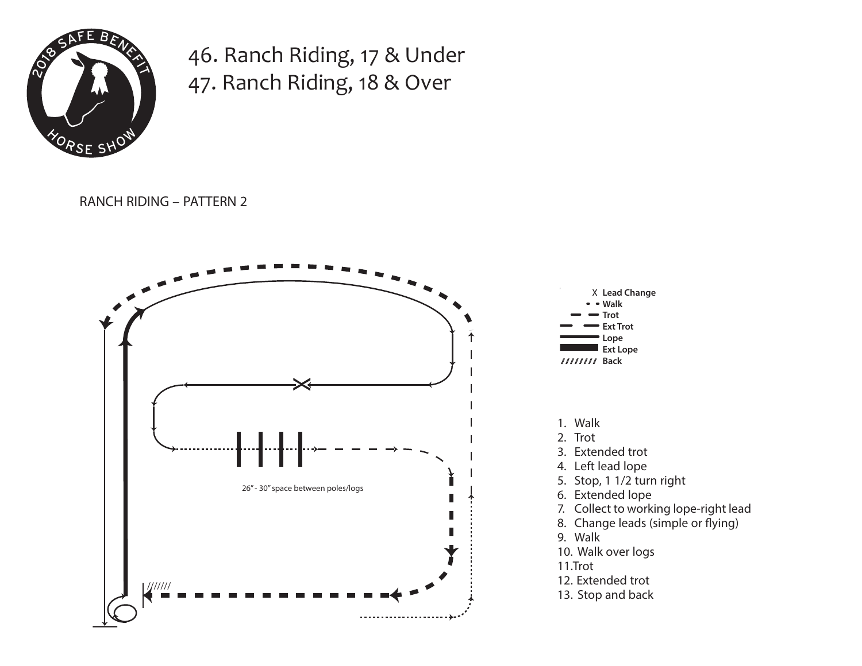

46. Ranch Riding, 17 & Under 47. Ranch Riding, 18 & Over

RANCH RIDING – PATTERN 2 **Minimum of 26"**